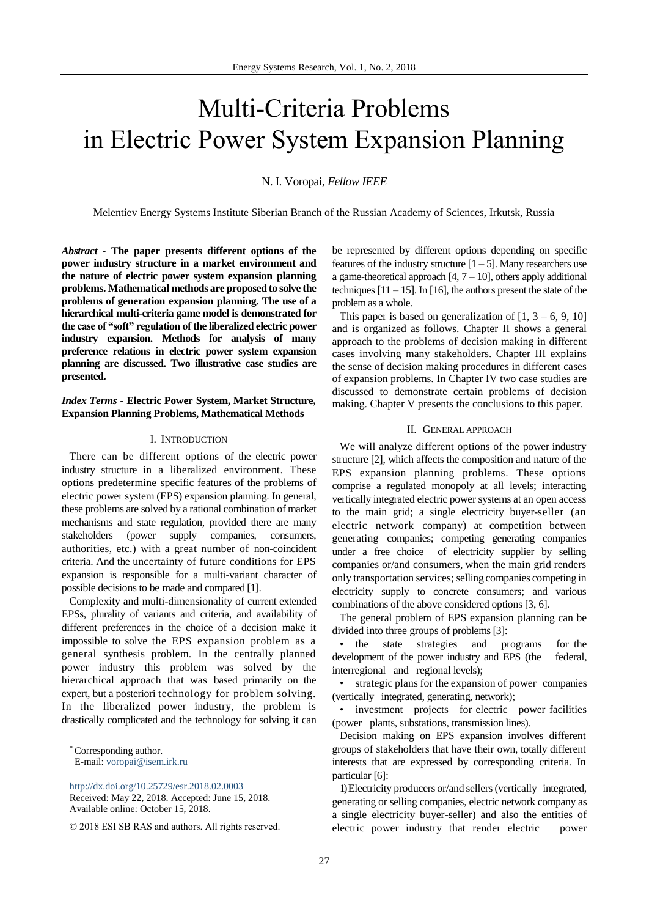# Multi-Criteria Problems in Electric Power System Expansion Planning

## N. I. Voropai, *Fellow IEEE*

Melentiev Energy Systems Institute Siberian Branch of the Russian Academy of Sciences, Irkutsk, Russia

*Abstract -* **The paper presents different options of the power industry structure in a market environment and the nature of electric power system expansion planning problems. Mathematical methods are proposed to solve the problems of generation expansion planning. The use of a hierarchical multi-criteria game model is demonstrated for the case of "soft" regulation of the liberalized electric power industry expansion. Methods for analysis of many preference relations in electric power system expansion planning are discussed. Two illustrative case studies are presented.** 

# *Index Terms* **- Electric Power System, Market Structure, Expansion Planning Problems, Mathematical Methods**

## I. INTRODUCTION

There can be different options of the electric power industry structure in a liberalized environment. These options predetermine specific features of the problems of electric power system (EPS) expansion planning. In general, these problems are solved by a rational combination of market mechanisms and state regulation, provided there are many stakeholders (power supply companies, consumers, authorities, etc.) with a great number of non-coincident criteria. And the uncertainty of future conditions for EPS expansion is responsible for a multi-variant character of possible decisions to be made and compared [1].

Complexity and multi-dimensionality of current extended EPSs, plurality of variants and criteria, and availability of different preferences in the choice of a decision make it impossible to solve the EPS expansion problem as a general synthesis problem. In the centrally planned power industry this problem was solved by the hierarchical approach that was based primarily on the expert, but a posteriori technology for problem solving. In the liberalized power industry, the problem is drastically complicated and the technology for solving it can

be represented by different options depending on specific features of the industry structure  $[1 - 5]$ . Many researchers use a game-theoretical approach  $[4, 7 - 10]$ , others apply additional techniques  $[11 - 15]$ . In [16], the authors present the state of the problem as a whole.

This paper is based on generalization of  $[1, 3 - 6, 9, 10]$ and is organized as follows. Chapter II shows a general approach to the problems of decision making in different cases involving many stakeholders. Chapter III explains the sense of decision making procedures in different cases of expansion problems. In Chapter IV two case studies are discussed to demonstrate certain problems of decision making. Chapter V presents the conclusions to this paper.

#### II. GENERAL APPROACH

We will analyze different options of the power industry structure [2], which affects the composition and nature of the EPS expansion planning problems. These options comprise a regulated monopoly at all levels; interacting vertically integrated electric power systems at an open access to the main grid; a single electricity buyer-seller (an electric network company) at competition between generating companies; competing generating companies under a free choice of electricity supplier by selling companies or/and consumers, when the main grid renders only transportation services; selling companies competing in electricity supply to concrete consumers; and various combinations of the above considered options [3, 6].

The general problem of EPS expansion planning can be divided into three groups of problems [3]:

• the state strategies and programs for the development of the power industry and EPS (the federal, interregional and regional levels);

• strategic plans for the expansion of power companies (vertically integrated, generating, network);

• investment projects for electric power facilities (power plants, substations, transmission lines).

Decision making on EPS expansion involves different groups of stakeholders that have their own, totally different interests that are expressed by corresponding criteria. In particular [6]:

1)Electricity producers or/and sellers(vertically integrated, generating or selling companies, electric network company as a single electricity buyer-seller) and also the entities of electric power industry that render electric power

<sup>\*</sup> Corresponding author.

E-mail: [voropai@isem.irk.ru](mailto:voropai@isem.irk.ru)

<http://dx.doi.org/10.25729/esr.2018.02.0003>

Received: May 22, 2018. Accepted: June 15, 2018. Available online: October 15, 2018.

<sup>© 2018</sup> ESI SB RAS and authors. All rights reserved.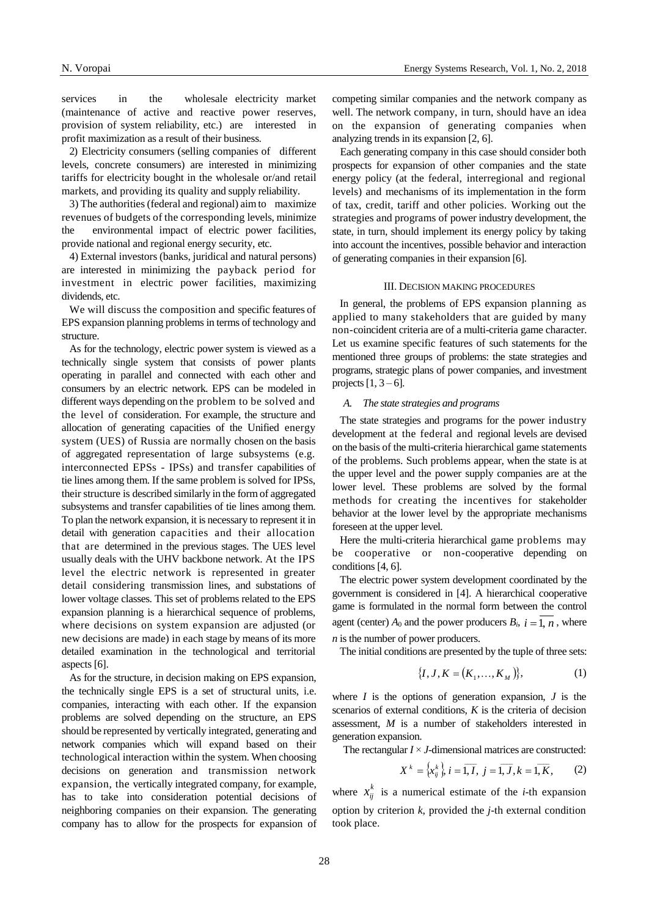N. Voropai [Energy Systems Research,](http://esrj.ru/) Vol. 1, No. 2, 2018

services in the wholesale electricity market (maintenance of active and reactive power reserves, provision of system reliability, etc.) are interested in profit maximization as a result of their business.

2) Electricity consumers (selling companies of different levels, concrete consumers) are interested in minimizing tariffs for electricity bought in the wholesale or/and retail markets, and providing its quality and supply reliability.

3) The authorities (federal and regional) aim to maximize revenues of budgets of the corresponding levels, minimize the environmental impact of electric power facilities, provide national and regional energy security, etc.

4) External investors (banks, juridical and natural persons) are interested in minimizing the payback period for investment in electric power facilities, maximizing dividends, etc.

We will discuss the composition and specific features of EPS expansion planning problems in terms of technology and structure.

As for the technology, electric power system is viewed as a technically single system that consists of power plants operating in parallel and connected with each other and consumers by an electric network. EPS can be modeled in different ways depending on the problem to be solved and the level of consideration. For example, the structure and allocation of generating capacities of the Unified energy system (UES) of Russia are normally chosen on the basis of aggregated representation of large subsystems (e.g. interconnected EPSs - IPSs) and transfer capabilities of tie lines among them. If the same problem is solved for IPSs, their structure is described similarly in the form of aggregated subsystems and transfer capabilities of tie lines among them. To plan the network expansion, it is necessary to represent it in detail with generation capacities and their allocation that are determined in the previous stages. The UES level usually deals with the UHV backbone network. At the IPS level the electric network is represented in greater detail considering transmission lines, and substations of lower voltage classes. This set of problems related to the EPS expansion planning is a hierarchical sequence of problems, where decisions on system expansion are adjusted (or new decisions are made) in each stage by means of its more detailed examination in the technological and territorial aspects [6].

As for the structure, in decision making on EPS expansion, the technically single EPS is a set of structural units, i.e. companies, interacting with each other. If the expansion problems are solved depending on the structure, an EPS should be represented by vertically integrated, generating and network companies which will expand based on their technological interaction within the system. When choosing decisions on generation and transmission network expansion, the vertically integrated company, for example, has to take into consideration potential decisions of neighboring companies on their expansion. The generating company has to allow for the prospects for expansion of competing similar companies and the network company as well. The network company, in turn, should have an idea on the expansion of generating companies when analyzing trends in its expansion [2, 6].

Each generating company in this case should consider both prospects for expansion of other companies and the state energy policy (at the federal, interregional and regional levels) and mechanisms of its implementation in the form of tax, credit, tariff and other policies. Working out the strategies and programs of power industry development, the state, in turn, should implement its energy policy by taking into account the incentives, possible behavior and interaction of generating companies in their expansion [6].

# III. DECISION MAKING PROCEDURES

In general, the problems of EPS expansion planning as applied to many stakeholders that are guided by many non-coincident criteria are of a multi-criteria game character. Let us examine specific features of such statements for the mentioned three groups of problems: the state strategies and programs, strategic plans of power companies, and investment projects  $[1, 3 - 6]$ .

## *A. The state strategies and programs*

The state strategies and programs for the power industry development at the federal and regional levels are devised on the basis of the multi-criteria hierarchical game statements of the problems. Such problems appear, when the state is at the upper level and the power supply companies are at the lower level. These problems are solved by the formal methods for creating the incentives for stakeholder behavior at the lower level by the appropriate mechanisms foreseen at the upper level.

Here the multi-criteria hierarchical game problems may be cooperative or non-cooperative depending on conditions [4, 6].

The electric power system development coordinated by the government is considered in [4]. A hierarchical cooperative game is formulated in the normal form between the control agent (center)  $A_0$  and the power producers  $B_i$ ,  $i = 1, n$ , where *n* is the number of power producers.

The initial conditions are presented by the tuple of three sets:

$$
\{I, J, K = (K_1, \dots, K_M)\},\tag{1}
$$

where  $I$  is the options of generation expansion,  $J$  is the scenarios of external conditions, *K* is the criteria of decision assessment, *M* is a number of stakeholders interested in generation expansion.

The rectangular *I* × *J*-dimensional matrices are constructed:

$$
X^{k} = \left\{ x_{ij}^{k} \right\}, i = \overline{1, I}, j = \overline{1, J}, k = \overline{1, K},
$$
 (2)

where  $x_{ij}^k$  is a numerical estimate of the *i*-th expansion option by criterion *k*, provided the *j*-th external condition took place.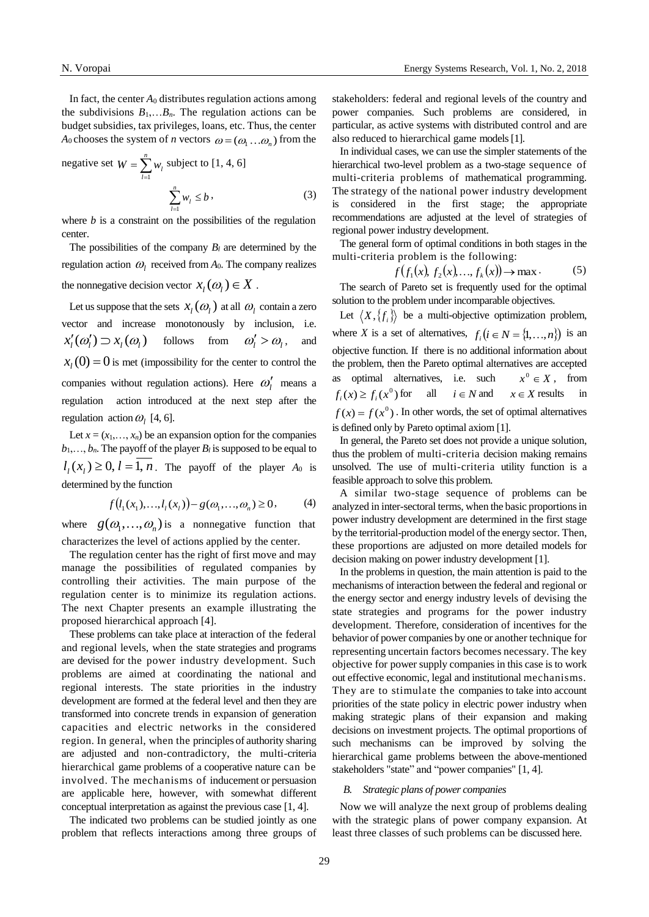In fact, the center  $A_0$  distributes regulation actions among the subdivisions  $B_1, \ldots, B_n$ . The regulation actions can be budget subsidies, tax privileges, loans, etc. Thus, the center *A*<sub>0</sub> chooses the system of *n* vectors  $\omega = (\omega_1 \dots \omega_n)$  from the

negative set 
$$
W = \sum_{l=1}^{n} w_l
$$
 subject to [1, 4, 6]  

$$
\sum_{l=1}^{n} w_l \le b,
$$
 (3)

where  $b$  is a constraint on the possibilities of the regulation center.

The possibilities of the company  $B_l$  are determined by the regulation action  $\omega_l$  received from  $A_0$ . The company realizes the nonnegative decision vector  $x_l(\omega_l) \in X$ .

Let us suppose that the sets  $x_l(\omega_l)$  at all  $\omega_l$  contain a zero vector and increase monotonously by inclusion, i.e.  $x'_l(\omega'_l) \supset x_l(\omega_l)$  follows from  $\omega'_l > \omega_l$ , and  $x_l(0) = 0$  is met (impossibility for the center to control the companies without regulation actions). Here  $\omega'_l$  means a regulation action introduced at the next step after the regulation action  $\omega_l$  [4, 6].

Let  $x = (x_1, \ldots, x_n)$  be an expansion option for the companies  $b_1, \ldots, b_n$ . The payoff of the player  $B_l$  is supposed to be equal to  $l_l(x_l) \geq 0, l = 1, n$ . The payoff of the player  $A_0$  is determined by the function

$$
f(l_1(x_1),...,l_l(x_l)) - g(\omega_1,...,\omega_n) \ge 0, \qquad (4)
$$

where  $g(\omega_1, ..., \omega_n)$  is a nonnegative function that characterizes the level of actions applied by the center.

The regulation center has the right of first move and may manage the possibilities of regulated companies by controlling their activities. The main purpose of the regulation center is to minimize its regulation actions. The next Chapter presents an example illustrating the proposed hierarchical approach [4].

These problems can take place at interaction of the federal and regional levels, when the state strategies and programs are devised for the power industry development. Such problems are aimed at coordinating the national and regional interests. The state priorities in the industry development are formed at the federal level and then they are transformed into concrete trends in expansion of generation capacities and electric networks in the considered region. In general, when the principles of authority sharing are adjusted and non-contradictory, the multi-criteria hierarchical game problems of a cooperative nature can be involved. The mechanisms of inducement or persuasion are applicable here, however, with somewhat different conceptual interpretation as against the previous case [1, 4].

The indicated two problems can be studied jointly as one problem that reflects interactions among three groups of stakeholders: federal and regional levels of the country and power companies. Such problems are considered, in particular, as active systems with distributed control and are also reduced to hierarchical game models[1].

In individual cases, we can use the simpler statements of the hierarchical two-level problem as a two-stage sequence of multi-criteria problems of mathematical programming. The strategy of the national power industry development is considered in the first stage; the appropriate recommendations are adjusted at the level of strategies of regional power industry development.

The general form of optimal conditions in both stages in the multi-criteria problem is the following:

$$
f(f_1(x), f_2(x), \dots, f_k(x)) \to \max.
$$
 (5)

The search of Pareto set is frequently used for the optimal solution to the problem under incomparable objectives.

Let  $\langle X, \{f_i\}\rangle$  be a multi-objective optimization problem, where *X* is a set of alternatives,  $f_i$   $(i \in N = \{1, ..., n\})$  is an objective function. If there is no additional information about the problem, then the Pareto optimal alternatives are accepted as optimal alternatives, i.e. such  $x^0 \in X$ , from  $f_i(x) \ge f_i(x^0)$ for all  $i \in N$  and  $x \in X$  results in  $f(x) = f(x^0)$ . In other words, the set of optimal alternatives is defined only by Pareto optimal axiom [1].

In general, the Pareto set does not provide a unique solution, thus the problem of multi-criteria decision making remains unsolved. The use of multi-criteria utility function is a feasible approach to solve this problem.

A similar two-stage sequence of problems can be analyzed in inter-sectoral terms, when the basic proportions in power industry development are determined in the first stage by the territorial-production model of the energy sector. Then, these proportions are adjusted on more detailed models for decision making on power industry development [1].

In the problems in question, the main attention is paid to the mechanisms of interaction between the federal and regional or the energy sector and energy industry levels of devising the state strategies and programs for the power industry development. Therefore, consideration of incentives for the behavior of power companies by one or another technique for representing uncertain factors becomes necessary. The key objective for power supply companies in this case is to work out effective economic, legal and institutional mechanisms. They are to stimulate the companies to take into account priorities of the state policy in electric power industry when making strategic plans of their expansion and making decisions on investment projects. The optimal proportions of such mechanisms can be improved by solving the hierarchical game problems between the above-mentioned stakeholders "state" and "power companies" [1, 4].

## *B. Strategic plans of power companies*

Now we will analyze the next group of problems dealing with the strategic plans of power company expansion. At least three classes of such problems can be discussed here.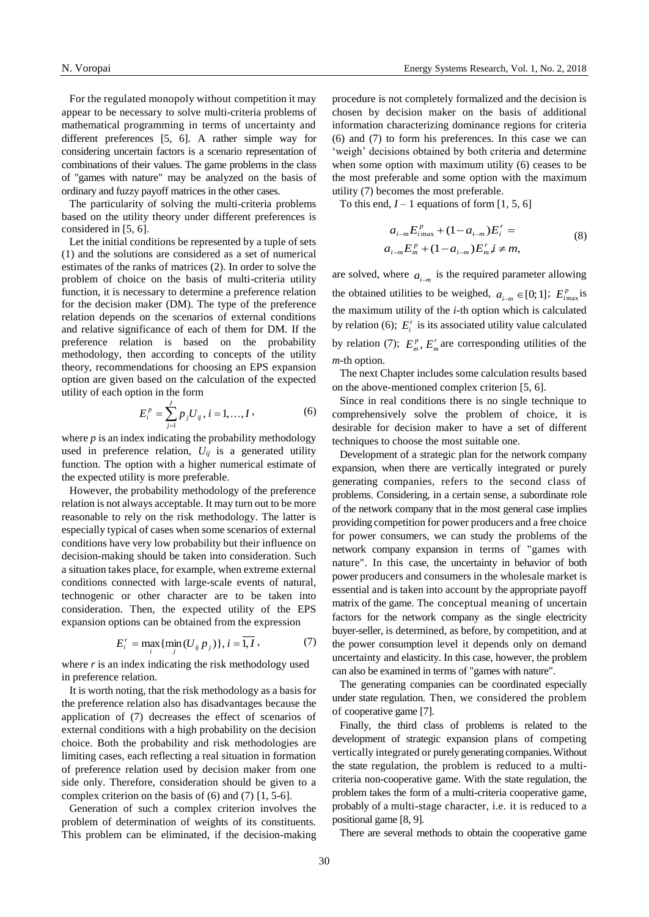For the regulated monopoly without competition it may appear to be necessary to solve multi-criteria problems of mathematical programming in terms of uncertainty and different preferences [5, 6]. A rather simple way for considering uncertain factors is a scenario representation of combinations of their values. The game problems in the class of "games with nature" may be analyzed on the basis of ordinary and fuzzy payoff matrices in the other cases.

The particularity of solving the multi-criteria problems based on the utility theory under different preferences is considered in [5, 6].

Let the initial conditions be represented by a tuple of sets (1) and the solutions are considered as a set of numerical estimates of the ranks of matrices (2). In order to solve the problem of choice on the basis of multi-criteria utility function, it is necessary to determine a preference relation for the decision maker (DM). The type of the preference relation depends on the scenarios of external conditions and relative significance of each of them for DM. If the preference relation is based on the probability methodology, then according to concepts of the utility theory, recommendations for choosing an EPS expansion option are given based on the calculation of the expected utility of each option in the form

$$
E_i^p = \sum_{j=1}^J p_j U_{ij}, i = 1, ..., I,
$$
 (6)

where *p* is an index indicating the probability methodology used in preference relation,  $U_{ij}$  is a generated utility function. The option with a higher numerical estimate of the expected utility is more preferable.

However, the probability methodology of the preference relation is not always acceptable. It may turn out to be more reasonable to rely on the risk methodology. The latter is especially typical of cases when some scenarios of external conditions have very low probability but their influence on decision-making should be taken into consideration. Such a situation takes place, for example, when extreme external conditions connected with large-scale events of natural, technogenic or other character are to be taken into consideration. Then, the expected utility of the EPS expansion options can be obtained from the expression

$$
E_i^r = \max_i \{ \min_j (U_{ij} p_j) \}, i = \overline{1, I},
$$
 (7)

where *r* is an index indicating the risk methodology used in preference relation.

It is worth noting, that the risk methodology as a basis for the preference relation also has disadvantages because the application of (7) decreases the effect of scenarios of external conditions with a high probability on the decision choice. Both the probability and risk methodologies are limiting cases, each reflecting a real situation in formation of preference relation used by decision maker from one side only. Therefore, consideration should be given to a complex criterion on the basis of (6) and (7) [1, 5-6].

Generation of such a complex criterion involves the problem of determination of weights of its constituents. This problem can be eliminated, if the decision-making procedure is not completely formalized and the decision is chosen by decision maker on the basis of additional information characterizing dominance regions for criteria (6) and (7) to form his preferences. In this case we can 'weigh' decisions obtained by both criteria and determine when some option with maximum utility (6) ceases to be the most preferable and some option with the maximum utility (7) becomes the most preferable.

To this end,  $I - 1$  equations of form [1, 5, 6]

$$
a_{i-m}E_{i\max}^p + (1 - a_{i-m})E_i^r =
$$
  
\n
$$
a_{i-m}E_m^p + (1 - a_{i-m})E_m^r \neq m,
$$
\n(8)

are solved, where  $a_{i-m}$  is the required parameter allowing the obtained utilities to be weighed,  $a_{i-m} \in [0, 1]$ ;  $E_{i \max}^p$  is the maximum utility of the *i-*th option which is calculated by relation (6);  $E_i^r$  is its associated utility value calculated by relation (7);  $E_m^p$ ,  $E_m^r$  are corresponding utilities of the *m-*th option.

The next Chapter includes some calculation results based on the above-mentioned complex criterion [5, 6].

Since in real conditions there is no single technique to comprehensively solve the problem of choice, it is desirable for decision maker to have a set of different techniques to choose the most suitable one.

Development of a strategic plan for the network company expansion, when there are vertically integrated or purely generating companies, refers to the second class of problems. Considering, in a certain sense, a subordinate role of the network company that in the most general case implies providing competition for power producers and a free choice for power consumers, we can study the problems of the network company expansion in terms of "games with nature". In this case, the uncertainty in behavior of both power producers and consumers in the wholesale market is essential and is taken into account by the appropriate payoff matrix of the game. The conceptual meaning of uncertain factors for the network company as the single electricity buyer-seller, is determined, as before, by competition, and at the power consumption level it depends only on demand uncertainty and elasticity. In this case, however, the problem can also be examined in terms of "games with nature".

The generating companies can be coordinated especially under state regulation. Then, we considered the problem of cooperative game [7].

Finally, the third class of problems is related to the development of strategic expansion plans of competing vertically integrated or purely generating companies. Without the state regulation, the problem is reduced to a multicriteria non-cooperative game. With the state regulation, the problem takes the form of a multi-criteria cooperative game, probably of a multi-stage character, i.e. it is reduced to a positional game [8, 9].

There are several methods to obtain the cooperative game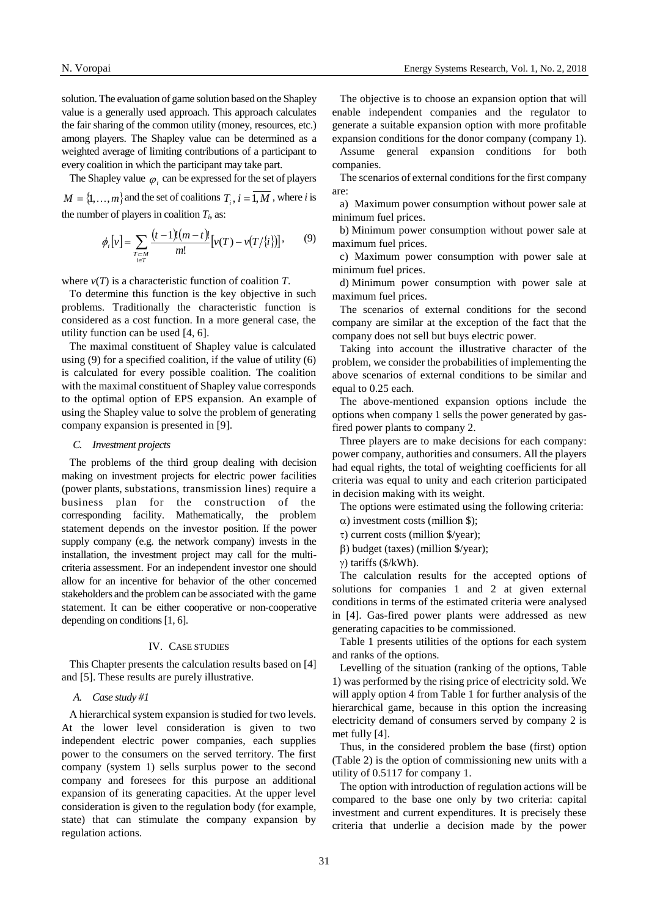solution. The evaluation of game solution based on the Shapley value is a generally used approach. This approach calculates the fair sharing of the common utility (money, resources, etc.) among players. The Shapley value can be determined as a weighted average of limiting contributions of a participant to every coalition in which the participant may take part.

The Shapley value  $\varphi_i$  can be expressed for the set of players  $M = \{1, ..., m\}$  and the set of coalitions  $T_i$ ,  $i = 1, M$ , where *i* is the number of players in coalition  $T_i$ , as:

$$
\phi_i[v] = \sum_{\substack{T \subset M \\ i \in T}} \frac{(t-1)!(m-t)!}{m!} [v(T) - v(T/\{i\})], \qquad (9)
$$

where  $v(T)$  is a characteristic function of coalition  $T$ .

To determine this function is the key objective in such problems. Traditionally the characteristic function is considered as a cost function. In a more general case, the utility function can be used [4, 6].

The maximal constituent of Shapley value is calculated using (9) for a specified coalition, if the value of utility (6) is calculated for every possible coalition. The coalition with the maximal constituent of Shapley value corresponds to the optimal option of EPS expansion. An example of using the Shapley value to solve the problem of generating company expansion is presented in [9].

#### *C. Investment projects*

The problems of the third group dealing with decision making on investment projects for electric power facilities (power plants, substations, transmission lines) require a business plan for the construction of the corresponding facility. Mathematically, the problem statement depends on the investor position. If the power supply company (e.g. the network company) invests in the installation, the investment project may call for the multicriteria assessment. For an independent investor one should allow for an incentive for behavior of the other concerned stakeholders and the problem can be associated with the game statement. It can be either cooperative or non-cooperative depending on conditions [1, 6].

#### IV. CASE STUDIES

This Chapter presents the calculation results based on [4] and [5]. These results are purely illustrative.

## *A. Case study #1*

A hierarchical system expansion is studied for two levels. At the lower level consideration is given to two independent electric power companies, each supplies power to the consumers on the served territory. The first company (system 1) sells surplus power to the second company and foresees for this purpose an additional expansion of its generating capacities. At the upper level consideration is given to the regulation body (for example, state) that can stimulate the company expansion by regulation actions.

The objective is to choose an expansion option that will enable independent companies and the regulator to generate a suitable expansion option with more profitable expansion conditions for the donor company (company 1).

Assume general expansion conditions for both companies.

The scenarios of external conditions for the first company are:

a) Maximum power consumption without power sale at minimum fuel prices.

b) Minimum power consumption without power sale at maximum fuel prices.

c) Maximum power consumption with power sale at minimum fuel prices.

d) Minimum power consumption with power sale at maximum fuel prices.

The scenarios of external conditions for the second company are similar at the exception of the fact that the company does not sell but buys electric power.

Taking into account the illustrative character of the problem, we consider the probabilities of implementing the above scenarios of external conditions to be similar and equal to 0.25 each.

The above-mentioned expansion options include the options when company 1 sells the power generated by gasfired power plants to company 2.

Three players are to make decisions for each company: power company, authorities and consumers. All the players had equal rights, the total of weighting coefficients for all criteria was equal to unity and each criterion participated in decision making with its weight.

The options were estimated using the following criteria:

- $\alpha$ ) investment costs (million \$);
- $\tau$ ) current costs (million \$/year);
- $\beta$ ) budget (taxes) (million \$/year);

 $\gamma$ ) tariffs (\$/kWh).

The calculation results for the accepted options of solutions for companies 1 and 2 at given external conditions in terms of the estimated criteria were analysed in [4]. Gas-fired power plants were addressed as new generating capacities to be commissioned.

Table 1 presents utilities of the options for each system and ranks of the options.

Levelling of the situation (ranking of the options, Table 1) was performed by the rising price of electricity sold. We will apply option 4 from Table 1 for further analysis of the hierarchical game, because in this option the increasing electricity demand of consumers served by company 2 is met fully [4].

Thus, in the considered problem the base (first) option (Table 2) is the option of commissioning new units with a utility of 0.5117 for company 1.

The option with introduction of regulation actions will be compared to the base one only by two criteria: capital investment and current expenditures. It is precisely these criteria that underlie a decision made by the power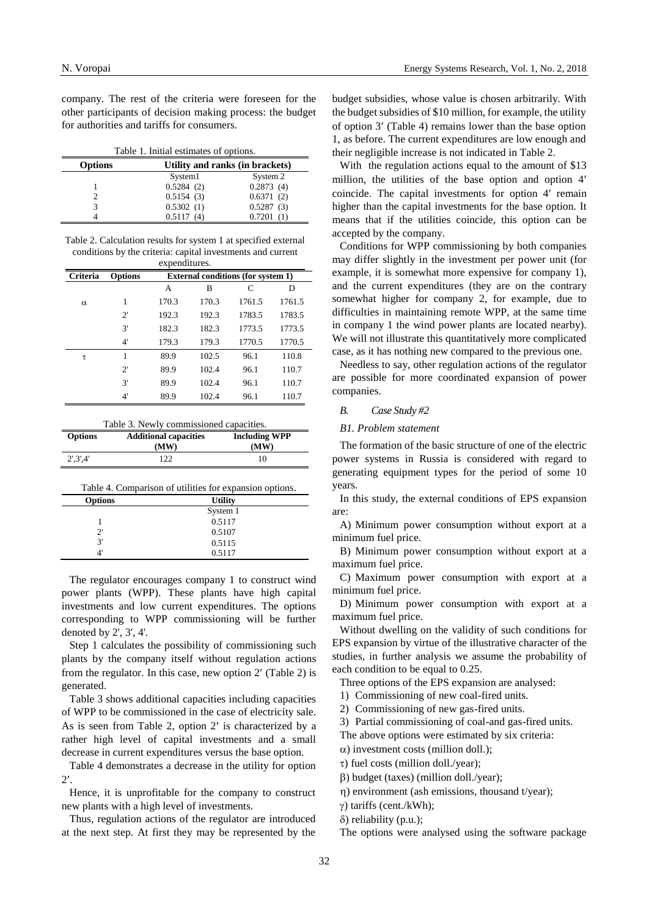company. The rest of the criteria were foreseen for the other participants of decision making process: the budget for authorities and tariffs for consumers.

Table 1. Initial estimates of options.

| <b>Options</b> |           | Utility and ranks (in brackets) |  |
|----------------|-----------|---------------------------------|--|
|                | System1   | System 2                        |  |
|                | 0.5284(2) | 0.2873(4)                       |  |
|                | 0.5154(3) | 0.6371(2)                       |  |
| 3              | 0.5302(1) | 0.5287(3)                       |  |
|                | 0.5117(4) | 0.7201(1)                       |  |
|                |           |                                 |  |

Table 2. Calculation results for system 1 at specified external conditions by the criteria: capital investments and current expenditures.

| <b>Criteria</b> | <b>Options</b> | <b>External conditions (for system 1)</b> |       |        |        |
|-----------------|----------------|-------------------------------------------|-------|--------|--------|
|                 |                | A                                         | B     | C      | D      |
| $\alpha$        | 1              | 170.3                                     | 170.3 | 1761.5 | 1761.5 |
|                 | $2^{\prime}$   | 192.3                                     | 192.3 | 1783.5 | 1783.5 |
|                 | 3'             | 182.3                                     | 182.3 | 1773.5 | 1773.5 |
|                 | 4'             | 179.3                                     | 179.3 | 1770.5 | 1770.5 |
| τ               | 1              | 89.9                                      | 102.5 | 96.1   | 110.8  |
|                 | $2^{\prime}$   | 89.9                                      | 102.4 | 96.1   | 110.7  |
|                 | 3'             | 89.9                                      | 102.4 | 96.1   | 110.7  |
|                 | 4'             | 89.9                                      | 102.4 | 96.1   | 110.7  |

| Table 3. Newly commissioned capacities. |
|-----------------------------------------|
|                                         |

| <b>Options</b>                                          | <b>Additional capacities</b><br>(MW) | <b>Including WPP</b><br>(MW) |  |  |
|---------------------------------------------------------|--------------------------------------|------------------------------|--|--|
| $2^{\prime}.3^{\prime}.4^{\prime}$                      | 122.                                 | 10                           |  |  |
| Table 4. Comparison of utilities for expansion options. |                                      |                              |  |  |
| <b>Options</b><br><b>Utility</b>                        |                                      |                              |  |  |

| <b>Opuons</b> | <b>ULLLUV</b> |  |
|---------------|---------------|--|
|               | System 1      |  |
|               | 0.5117        |  |
| $2^{\prime}$  | 0.5107        |  |
| 3'            | 0.5115        |  |
|               | 0.5117        |  |
|               |               |  |

The regulator encourages company 1 to construct wind power plants (WPP). These plants have high capital investments and low current expenditures. The options corresponding to WPP commissioning will be further denoted by 2', 3', 4'.

Step 1 calculates the possibility of commissioning such plants by the company itself without regulation actions from the regulator. In this case, new option  $2'$  (Table 2) is generated.

Table 3 shows additional capacities including capacities of WPP to be commissioned in the case of electricity sale. As is seen from Table 2, option  $2'$  is characterized by a rather high level of capital investments and a small decrease in current expenditures versus the base option.

Table 4 demonstrates a decrease in the utility for option 2.

Hence, it is unprofitable for the company to construct new plants with a high level of investments.

Thus, regulation actions of the regulator are introduced at the next step. At first they may be represented by the

budget subsidies, whose value is chosen arbitrarily. With the budget subsidies of \$10 million, for example, the utility of option  $3'$  (Table 4) remains lower than the base option 1, as before. The current expenditures are low enough and their negligible increase is not indicated in Table 2.

With the regulation actions equal to the amount of \$13 million, the utilities of the base option and option 4 coincide. The capital investments for option 4' remain higher than the capital investments for the base option. It means that if the utilities coincide, this option can be accepted by the company.

Conditions for WPP commissioning by both companies may differ slightly in the investment per power unit (for example, it is somewhat more expensive for company 1), and the current expenditures (they are on the contrary somewhat higher for company 2, for example, due to difficulties in maintaining remote WPP, at the same time in company 1 the wind power plants are located nearby). We will not illustrate this quantitatively more complicated case, as it has nothing new compared to the previous one.

Needless to say, other regulation actions of the regulator are possible for more coordinated expansion of power companies.

# *B. Case Study #2*

## *B1. Problem statement*

The formation of the basic structure of one of the electric power systems in Russia is considered with regard to generating equipment types for the period of some 10 years.

In this study, the external conditions of EPS expansion are:

A) Minimum power consumption without export at a minimum fuel price.

B) Minimum power consumption without export at a maximum fuel price.

C) Maximum power consumption with export at a minimum fuel price.

D) Minimum power consumption with export at a maximum fuel price.

Without dwelling on the validity of such conditions for EPS expansion by virtue of the illustrative character of the studies, in further analysis we assume the probability of each condition to be equal to 0.25.

Three options of the EPS expansion are analysed:

1) Commissioning of new coal-fired units.

2) Commissioning of new gas-fired units.

3) Partial commissioning of coal-and gas-fired units.

The above options were estimated by six criteria:

 $\alpha$ ) investment costs (million doll.);

 $\tau$ ) fuel costs (million doll./year);

) budget (taxes) (million doll./year);

) environment (ash emissions, thousand t/year);

) tariffs (cent./kWh);

 $\delta$ ) reliability (p.u.);

The options were analysed using the software package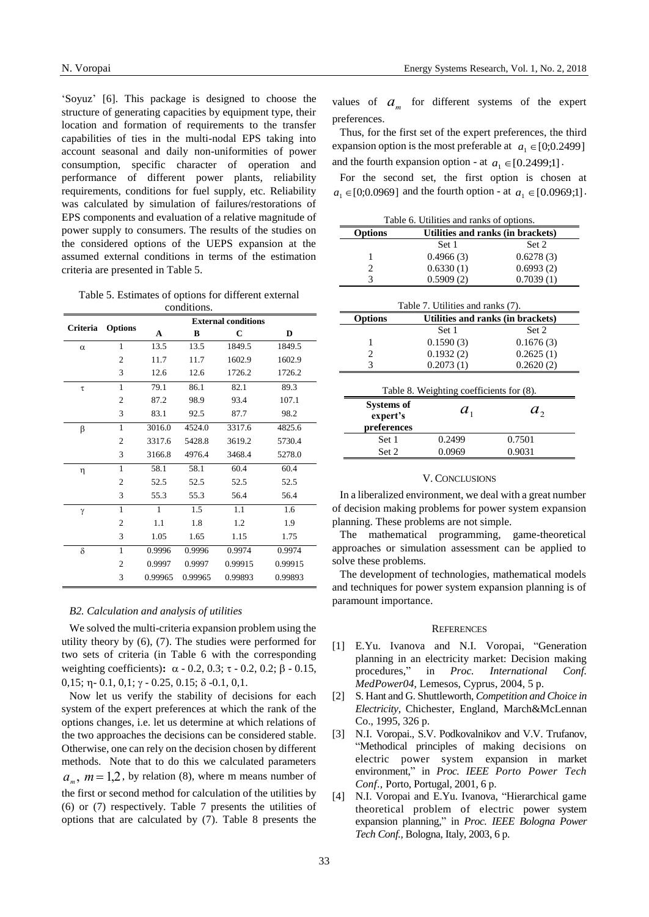'Soyuz' [6]. This package is designed to choose the structure of generating capacities by equipment type, their location and formation of requirements to the transfer capabilities of ties in the multi-nodal EPS taking into account seasonal and daily non-uniformities of power consumption, specific character of operation and performance of different power plants, reliability requirements, conditions for fuel supply, etc. Reliability was calculated by simulation of failures/restorations of EPS components and evaluation of a relative magnitude of power supply to consumers. The results of the studies on the considered options of the UEPS expansion at the assumed external conditions in terms of the estimation criteria are presented in Table 5.

Table 5. Estimates of options for different external conditions.

|          |                            | <b>External conditions</b> |         |         |         |
|----------|----------------------------|----------------------------|---------|---------|---------|
|          | Criteria<br><b>Options</b> | A                          | B       | C       | D       |
| $\alpha$ | 1                          | 13.5                       | 13.5    | 1849.5  | 1849.5  |
|          | $\overline{c}$             | 11.7                       | 11.7    | 1602.9  | 1602.9  |
|          | 3                          | 12.6                       | 12.6    | 1726.2  | 1726.2  |
| $\tau$   | $\mathbf{1}$               | 79.1                       | 86.1    | 82.1    | 89.3    |
|          | 2                          | 87.2                       | 98.9    | 93.4    | 107.1   |
|          | 3                          | 83.1                       | 92.5    | 87.7    | 98.2    |
| β        | 1                          | 3016.0                     | 4524.0  | 3317.6  | 4825.6  |
|          | $\overline{c}$             | 3317.6                     | 5428.8  | 3619.2  | 5730.4  |
|          | 3                          | 3166.8                     | 4976.4  | 3468.4  | 5278.0  |
| η        | 1                          | 58.1                       | 58.1    | 60.4    | 60.4    |
|          | $\overline{2}$             | 52.5                       | 52.5    | 52.5    | 52.5    |
|          | 3                          | 55.3                       | 55.3    | 56.4    | 56.4    |
| γ        | 1                          | $\mathbf{1}$               | 1.5     | 1.1     | 1.6     |
|          | $\overline{c}$             | 1.1                        | 1.8     | 1.2     | 1.9     |
|          | 3                          | 1.05                       | 1.65    | 1.15    | 1.75    |
| $\delta$ | 1                          | 0.9996                     | 0.9996  | 0.9974  | 0.9974  |
|          | $\mathfrak{D}$             | 0.9997                     | 0.9997  | 0.99915 | 0.99915 |
|          | 3                          | 0.99965                    | 0.99965 | 0.99893 | 0.99893 |

## *B2. Calculation and analysis of utilities*

We solved the multi-criteria expansion problem using the utility theory by (6), (7). The studies were performed for two sets of criteria (in Table 6 with the corresponding weighting coefficients):  $\alpha$  - 0.2, 0.3;  $\tau$  - 0.2, 0.2;  $\beta$  - 0.15,  $0,15; \eta$  -  $0.1, 0,1; \gamma$  -  $0.25, 0.15; \delta$  -0.1,  $0,1.$ 

Now let us verify the stability of decisions for each system of the expert preferences at which the rank of the options changes, i.e. let us determine at which relations of the two approaches the decisions can be considered stable. Otherwise, one can rely on the decision chosen by different methods. Note that to do this we calculated parameters  $a_m$ ,  $m = 1,2$ , by relation (8), where m means number of the first or second method for calculation of the utilities by (6) or (7) respectively. Table 7 presents the utilities of options that are calculated by (7). Table 8 presents the

values of  $a_m$  for different systems of the expert preferences.

Thus, for the first set of the expert preferences, the third expansion option is the most preferable at  $a_1 \in [0;0.2499]$ and the fourth expansion option - at  $a_1 \in [0.2499;1]$ .

For the second set, the first option is chosen at  $a_1 \in [0;0.0969]$  and the fourth option - at  $a_1 \in [0.0969;1]$ .

| Table 6. Utilities and ranks of options. |                                          |                                   |  |  |
|------------------------------------------|------------------------------------------|-----------------------------------|--|--|
| <b>Options</b>                           | Utilities and ranks (in brackets)        |                                   |  |  |
|                                          | Set 1                                    | Set 2                             |  |  |
| 1                                        | 0.4966(3)                                | 0.6278(3)                         |  |  |
| 2                                        | 0.6330(1)                                | 0.6993(2)                         |  |  |
| 3                                        | 0.5909(2)                                | 0.7039(1)                         |  |  |
|                                          |                                          |                                   |  |  |
|                                          | Table 7. Utilities and ranks (7).        |                                   |  |  |
| <b>Options</b>                           |                                          | Utilities and ranks (in brackets) |  |  |
|                                          | Set 1                                    | Set 2                             |  |  |
| 1                                        | 0.1590(3)                                | 0.1676(3)                         |  |  |
| 2                                        | 0.1932(2)                                | 0.2625(1)                         |  |  |
| 3                                        | 0.2073(1)                                | 0.2620(2)                         |  |  |
|                                          |                                          |                                   |  |  |
|                                          | Table 8. Weighting coefficients for (8). |                                   |  |  |
| Systems of<br>expert's                   | $a_{1}$                                  | a <sub>2</sub>                    |  |  |
| preferences                              |                                          |                                   |  |  |
| Set 1                                    | 0.2499                                   | 0.7501                            |  |  |
| Set 2                                    | 0.0969                                   | 0.9031                            |  |  |

#### V. CONCLUSIONS

In a liberalized environment, we deal with a great number of decision making problems for power system expansion planning. These problems are not simple.

The mathematical programming, game-theoretical approaches or simulation assessment can be applied to solve these problems.

The development of technologies, mathematical models and techniques for power system expansion planning is of paramount importance.

#### **REFERENCES**

- [1] E.Yu. Ivanova and N.I. Voropai, "Generation planning in an electricity market: Decision making procedures," in *Proc. International Conf. MedPower04*, Lemesos, Cyprus, 2004, 5 p.
- [2] S. Hant and G. Shuttleworth, *Competition and Choice in Electricity,* Chichester, England, March&McLennan Co., 1995, 326 p.
- [3] N.I. Voropai., S.V. Podkovalnikov and V.V. Trufanov, "Methodical principles of making decisions on electric power system expansion in market environment," in *Proc. IEEE Porto Power Tech Conf*.*,* Porto, Portugal, 2001, 6 p.
- [4] N.I. Voropai and E.Yu. Ivanova, "Hierarchical game theoretical problem of electric power system expansion planning," in *Proc. IEEE Bologna Power Tech Conf.,* Bologna, Italy, 2003, 6 p.